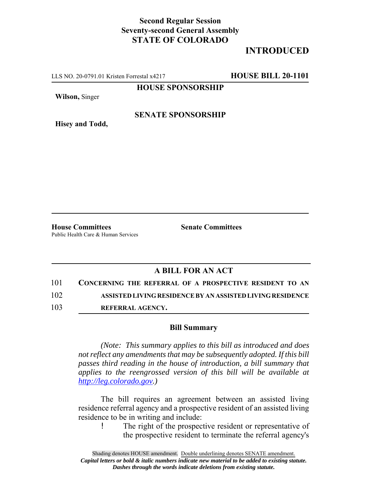## **Second Regular Session Seventy-second General Assembly STATE OF COLORADO**

# **INTRODUCED**

LLS NO. 20-0791.01 Kristen Forrestal x4217 **HOUSE BILL 20-1101**

**HOUSE SPONSORSHIP**

**Wilson,** Singer

**Hisey and Todd,**

#### **SENATE SPONSORSHIP**

**House Committees Senate Committees** 

Public Health Care & Human Services

### **A BILL FOR AN ACT**

101 **CONCERNING THE REFERRAL OF A PROSPECTIVE RESIDENT TO AN**

102 **ASSISTED LIVING RESIDENCE BY AN ASSISTED LIVING RESIDENCE**

103 **REFERRAL AGENCY.**

#### **Bill Summary**

*(Note: This summary applies to this bill as introduced and does not reflect any amendments that may be subsequently adopted. If this bill passes third reading in the house of introduction, a bill summary that applies to the reengrossed version of this bill will be available at http://leg.colorado.gov.)*

The bill requires an agreement between an assisted living residence referral agency and a prospective resident of an assisted living residence to be in writing and include:

The right of the prospective resident or representative of the prospective resident to terminate the referral agency's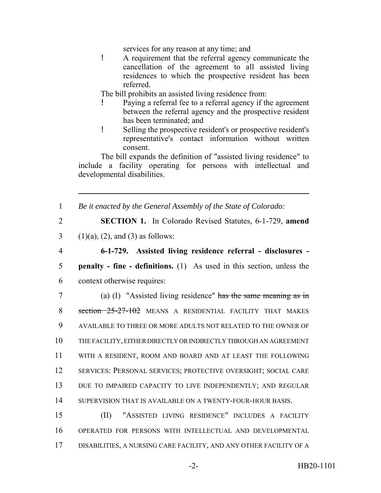services for any reason at any time; and

! A requirement that the referral agency communicate the cancellation of the agreement to all assisted living residences to which the prospective resident has been referred.

The bill prohibits an assisted living residence from:

- ! Paying a referral fee to a referral agency if the agreement between the referral agency and the prospective resident has been terminated; and
- ! Selling the prospective resident's or prospective resident's representative's contact information without written consent.

The bill expands the definition of "assisted living residence" to include a facility operating for persons with intellectual and developmental disabilities.

1 *Be it enacted by the General Assembly of the State of Colorado:*

2 **SECTION 1.** In Colorado Revised Statutes, 6-1-729, **amend**

3 (1)(a), (2), and (3) as follows:

4 **6-1-729. Assisted living residence referral - disclosures -** 5 **penalty - fine - definitions.** (1) As used in this section, unless the 6 context otherwise requires:

 (a) (I) "Assisted living residence" has the same meaning as in 8 section 25-27-102 MEANS A RESIDENTIAL FACILITY THAT MAKES AVAILABLE TO THREE OR MORE ADULTS NOT RELATED TO THE OWNER OF THE FACILITY, EITHER DIRECTLY OR INDIRECTLY THROUGH AN AGREEMENT WITH A RESIDENT, ROOM AND BOARD AND AT LEAST THE FOLLOWING SERVICES: PERSONAL SERVICES; PROTECTIVE OVERSIGHT; SOCIAL CARE 13 DUE TO IMPAIRED CAPACITY TO LIVE INDEPENDENTLY; AND REGULAR 14 SUPERVISION THAT IS AVAILABLE ON A TWENTY-FOUR-HOUR BASIS.

15 (II) "ASSISTED LIVING RESIDENCE" INCLUDES A FACILITY 16 OPERATED FOR PERSONS WITH INTELLECTUAL AND DEVELOPMENTAL 17 DISABILITIES, A NURSING CARE FACILITY, AND ANY OTHER FACILITY OF A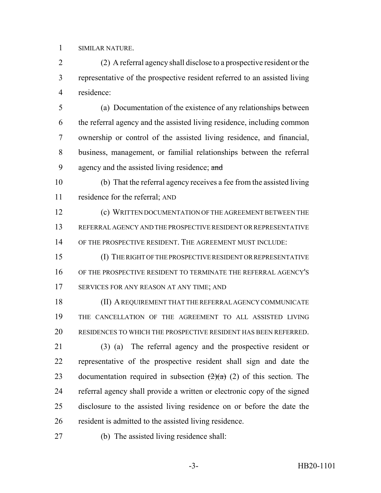SIMILAR NATURE.

 (2) A referral agency shall disclose to a prospective resident or the representative of the prospective resident referred to an assisted living residence:

 (a) Documentation of the existence of any relationships between the referral agency and the assisted living residence, including common ownership or control of the assisted living residence, and financial, business, management, or familial relationships between the referral 9 agency and the assisted living residence; and

 (b) That the referral agency receives a fee from the assisted living residence for the referral; AND

 (c) WRITTEN DOCUMENTATION OF THE AGREEMENT BETWEEN THE REFERRAL AGENCY AND THE PROSPECTIVE RESIDENT OR REPRESENTATIVE OF THE PROSPECTIVE RESIDENT. THE AGREEMENT MUST INCLUDE:

 (I) THE RIGHT OF THE PROSPECTIVE RESIDENT OR REPRESENTATIVE OF THE PROSPECTIVE RESIDENT TO TERMINATE THE REFERRAL AGENCY'S 17 SERVICES FOR ANY REASON AT ANY TIME; AND

 (II) A REQUIREMENT THAT THE REFERRAL AGENCY COMMUNICATE THE CANCELLATION OF THE AGREEMENT TO ALL ASSISTED LIVING RESIDENCES TO WHICH THE PROSPECTIVE RESIDENT HAS BEEN REFERRED.

 (3) (a) The referral agency and the prospective resident or representative of the prospective resident shall sign and date the 23 documentation required in subsection  $(2)(a)$  (2) of this section. The referral agency shall provide a written or electronic copy of the signed disclosure to the assisted living residence on or before the date the resident is admitted to the assisted living residence.

(b) The assisted living residence shall: